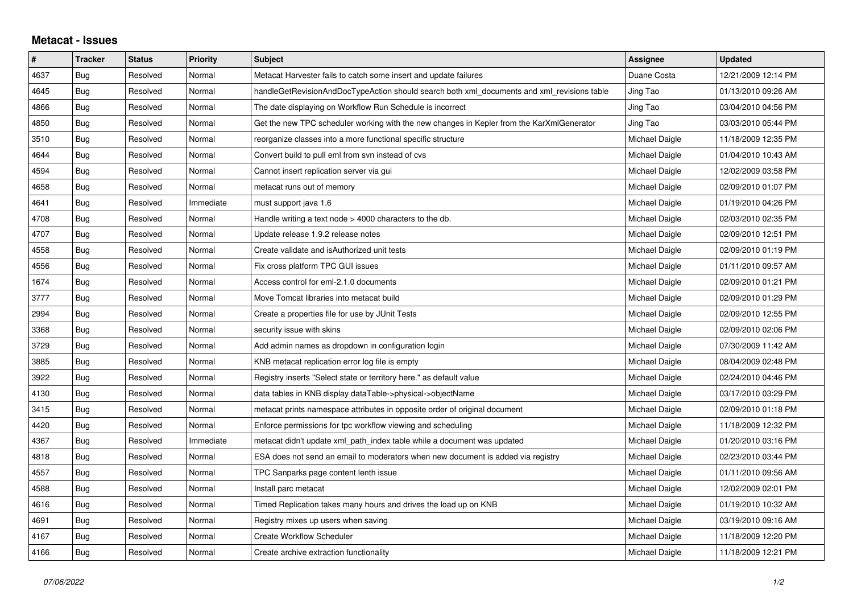## **Metacat - Issues**

| $\#$ | <b>Tracker</b> | <b>Status</b> | <b>Priority</b> | <b>Subject</b>                                                                             | Assignee       | <b>Updated</b>      |
|------|----------------|---------------|-----------------|--------------------------------------------------------------------------------------------|----------------|---------------------|
| 4637 | Bug            | Resolved      | Normal          | Metacat Harvester fails to catch some insert and update failures                           | Duane Costa    | 12/21/2009 12:14 PM |
| 4645 | Bug            | Resolved      | Normal          | handleGetRevisionAndDocTypeAction should search both xml_documents and xml_revisions table | Jing Tao       | 01/13/2010 09:26 AM |
| 4866 | Bug            | Resolved      | Normal          | The date displaying on Workflow Run Schedule is incorrect                                  | Jing Tao       | 03/04/2010 04:56 PM |
| 4850 | Bug            | Resolved      | Normal          | Get the new TPC scheduler working with the new changes in Kepler from the KarXmlGenerator  | Jing Tao       | 03/03/2010 05:44 PM |
| 3510 | Bug            | Resolved      | Normal          | reorganize classes into a more functional specific structure                               | Michael Daigle | 11/18/2009 12:35 PM |
| 4644 | Bug            | Resolved      | Normal          | Convert build to pull eml from svn instead of cvs                                          | Michael Daigle | 01/04/2010 10:43 AM |
| 4594 | Bug            | Resolved      | Normal          | Cannot insert replication server via gui                                                   | Michael Daigle | 12/02/2009 03:58 PM |
| 4658 | Bug            | Resolved      | Normal          | metacat runs out of memory                                                                 | Michael Daigle | 02/09/2010 01:07 PM |
| 4641 | <b>Bug</b>     | Resolved      | Immediate       | must support java 1.6                                                                      | Michael Daigle | 01/19/2010 04:26 PM |
| 4708 | Bug            | Resolved      | Normal          | Handle writing a text node $>$ 4000 characters to the db.                                  | Michael Daigle | 02/03/2010 02:35 PM |
| 4707 | Bug            | Resolved      | Normal          | Update release 1.9.2 release notes                                                         | Michael Daigle | 02/09/2010 12:51 PM |
| 4558 | <b>Bug</b>     | Resolved      | Normal          | Create validate and is Authorized unit tests                                               | Michael Daigle | 02/09/2010 01:19 PM |
| 4556 | Bug            | Resolved      | Normal          | Fix cross platform TPC GUI issues                                                          | Michael Daigle | 01/11/2010 09:57 AM |
| 1674 | Bug            | Resolved      | Normal          | Access control for eml-2.1.0 documents                                                     | Michael Daigle | 02/09/2010 01:21 PM |
| 3777 | Bug            | Resolved      | Normal          | Move Tomcat libraries into metacat build                                                   | Michael Daigle | 02/09/2010 01:29 PM |
| 2994 | Bug            | Resolved      | Normal          | Create a properties file for use by JUnit Tests                                            | Michael Daigle | 02/09/2010 12:55 PM |
| 3368 | Bug            | Resolved      | Normal          | security issue with skins                                                                  | Michael Daigle | 02/09/2010 02:06 PM |
| 3729 | Bug            | Resolved      | Normal          | Add admin names as dropdown in configuration login                                         | Michael Daigle | 07/30/2009 11:42 AM |
| 3885 | Bug            | Resolved      | Normal          | KNB metacat replication error log file is empty                                            | Michael Daigle | 08/04/2009 02:48 PM |
| 3922 | Bug            | Resolved      | Normal          | Registry inserts "Select state or territory here." as default value                        | Michael Daigle | 02/24/2010 04:46 PM |
| 4130 | Bug            | Resolved      | Normal          | data tables in KNB display dataTable->physical->objectName                                 | Michael Daigle | 03/17/2010 03:29 PM |
| 3415 | Bug            | Resolved      | Normal          | metacat prints namespace attributes in opposite order of original document                 | Michael Daigle | 02/09/2010 01:18 PM |
| 4420 | Bug            | Resolved      | Normal          | Enforce permissions for tpc workflow viewing and scheduling                                | Michael Daigle | 11/18/2009 12:32 PM |
| 4367 | Bug            | Resolved      | Immediate       | metacat didn't update xml path index table while a document was updated                    | Michael Daigle | 01/20/2010 03:16 PM |
| 4818 | Bug            | Resolved      | Normal          | ESA does not send an email to moderators when new document is added via registry           | Michael Daigle | 02/23/2010 03:44 PM |
| 4557 | Bug            | Resolved      | Normal          | TPC Sanparks page content lenth issue                                                      | Michael Daigle | 01/11/2010 09:56 AM |
| 4588 | Bug            | Resolved      | Normal          | Install parc metacat                                                                       | Michael Daigle | 12/02/2009 02:01 PM |
| 4616 | <b>Bug</b>     | Resolved      | Normal          | Timed Replication takes many hours and drives the load up on KNB                           | Michael Daigle | 01/19/2010 10:32 AM |
| 4691 | Bug            | Resolved      | Normal          | Registry mixes up users when saving                                                        | Michael Daigle | 03/19/2010 09:16 AM |
| 4167 | Bug            | Resolved      | Normal          | <b>Create Workflow Scheduler</b>                                                           | Michael Daigle | 11/18/2009 12:20 PM |
| 4166 | Bug            | Resolved      | Normal          | Create archive extraction functionality                                                    | Michael Daigle | 11/18/2009 12:21 PM |